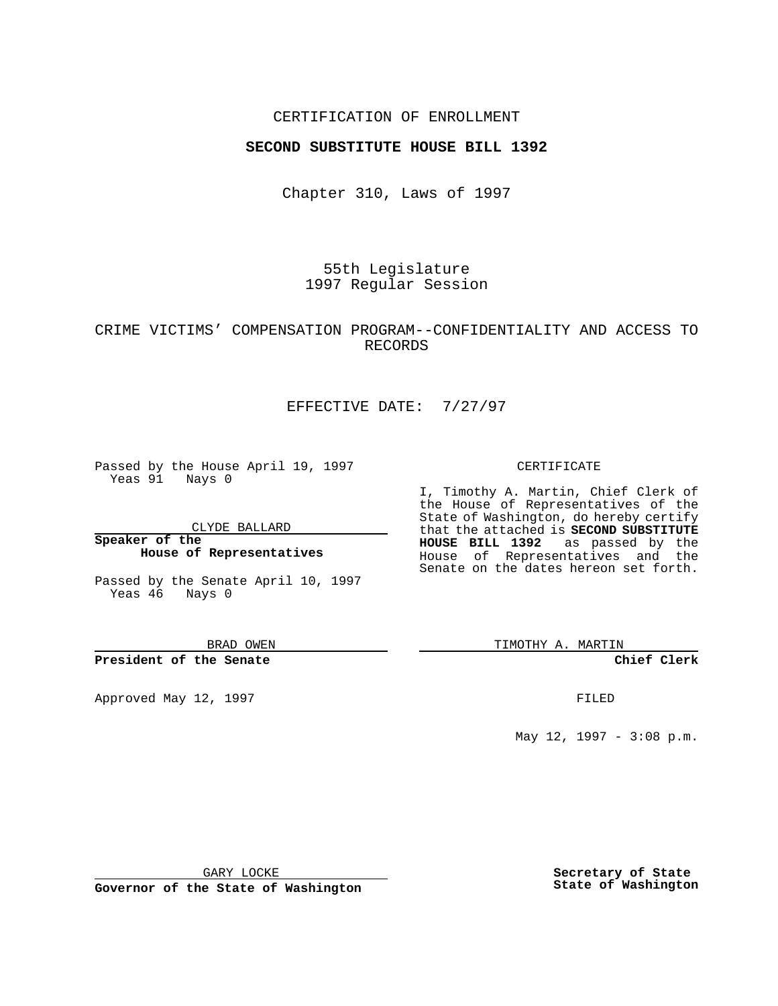### CERTIFICATION OF ENROLLMENT

### **SECOND SUBSTITUTE HOUSE BILL 1392**

Chapter 310, Laws of 1997

55th Legislature 1997 Regular Session

## CRIME VICTIMS' COMPENSATION PROGRAM--CONFIDENTIALITY AND ACCESS TO RECORDS

# EFFECTIVE DATE: 7/27/97

Passed by the House April 19, 1997 Yeas 91 Nays 0

CLYDE BALLARD

**Speaker of the House of Representatives**

Passed by the Senate April 10, 1997 Yeas 46 Nays 0

BRAD OWEN

**President of the Senate**

Approved May 12, 1997 **FILED** 

#### CERTIFICATE

I, Timothy A. Martin, Chief Clerk of the House of Representatives of the State of Washington, do hereby certify that the attached is **SECOND SUBSTITUTE HOUSE BILL 1392** as passed by the House of Representatives and the Senate on the dates hereon set forth.

TIMOTHY A. MARTIN

#### **Chief Clerk**

May 12, 1997 - 3:08 p.m.

GARY LOCKE

**Governor of the State of Washington**

**Secretary of State State of Washington**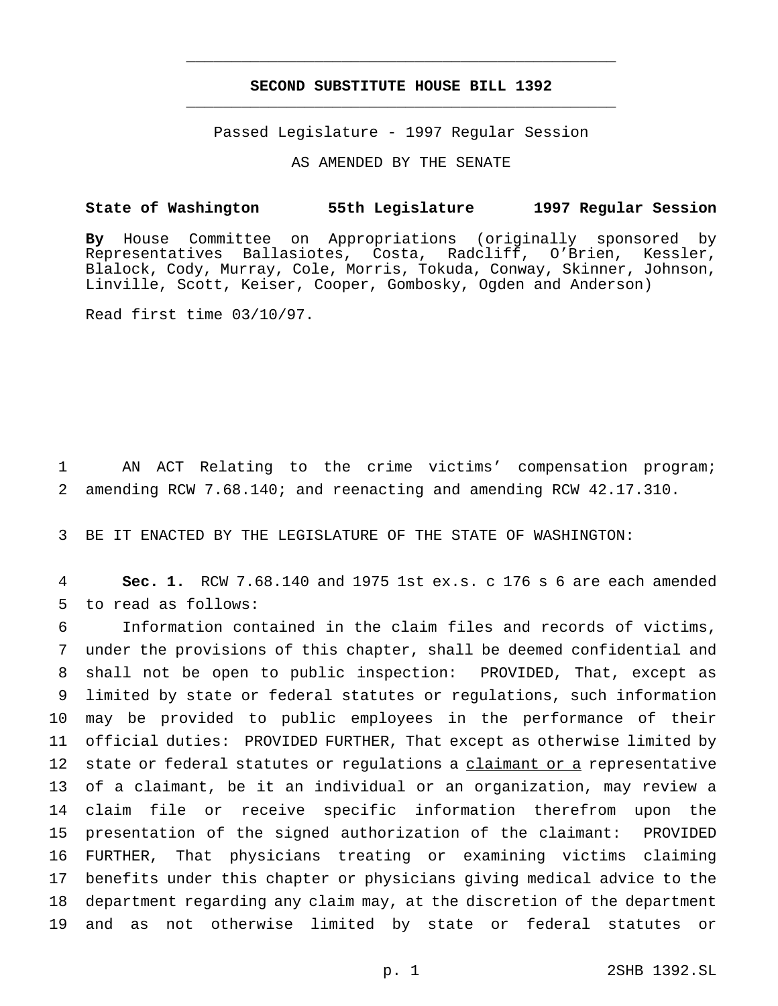# **SECOND SUBSTITUTE HOUSE BILL 1392** \_\_\_\_\_\_\_\_\_\_\_\_\_\_\_\_\_\_\_\_\_\_\_\_\_\_\_\_\_\_\_\_\_\_\_\_\_\_\_\_\_\_\_\_\_\_\_

\_\_\_\_\_\_\_\_\_\_\_\_\_\_\_\_\_\_\_\_\_\_\_\_\_\_\_\_\_\_\_\_\_\_\_\_\_\_\_\_\_\_\_\_\_\_\_

Passed Legislature - 1997 Regular Session

AS AMENDED BY THE SENATE

## **State of Washington 55th Legislature 1997 Regular Session**

**By** House Committee on Appropriations (originally sponsored by Representatives Ballasiotes, Costa, Radcliff, O'Brien, Kessler, Blalock, Cody, Murray, Cole, Morris, Tokuda, Conway, Skinner, Johnson, Linville, Scott, Keiser, Cooper, Gombosky, Ogden and Anderson)

Read first time 03/10/97.

1 AN ACT Relating to the crime victims' compensation program; 2 amending RCW 7.68.140; and reenacting and amending RCW 42.17.310.

3 BE IT ENACTED BY THE LEGISLATURE OF THE STATE OF WASHINGTON:

4 **Sec. 1.** RCW 7.68.140 and 1975 1st ex.s. c 176 s 6 are each amended 5 to read as follows:

 Information contained in the claim files and records of victims, under the provisions of this chapter, shall be deemed confidential and shall not be open to public inspection: PROVIDED, That, except as limited by state or federal statutes or regulations, such information may be provided to public employees in the performance of their official duties: PROVIDED FURTHER, That except as otherwise limited by 12 state or federal statutes or regulations a claimant or a representative of a claimant, be it an individual or an organization, may review a claim file or receive specific information therefrom upon the presentation of the signed authorization of the claimant: PROVIDED FURTHER, That physicians treating or examining victims claiming benefits under this chapter or physicians giving medical advice to the department regarding any claim may, at the discretion of the department and as not otherwise limited by state or federal statutes or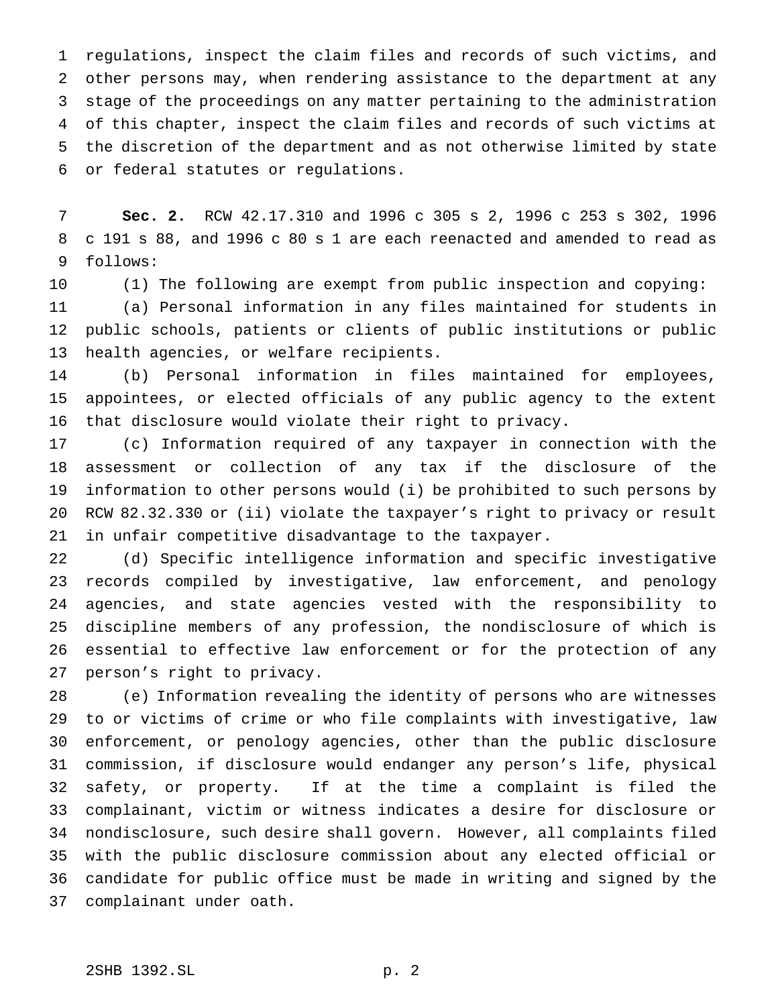regulations, inspect the claim files and records of such victims, and other persons may, when rendering assistance to the department at any stage of the proceedings on any matter pertaining to the administration of this chapter, inspect the claim files and records of such victims at the discretion of the department and as not otherwise limited by state or federal statutes or regulations.

 **Sec. 2.** RCW 42.17.310 and 1996 c 305 s 2, 1996 c 253 s 302, 1996 c 191 s 88, and 1996 c 80 s 1 are each reenacted and amended to read as follows:

 (1) The following are exempt from public inspection and copying: (a) Personal information in any files maintained for students in public schools, patients or clients of public institutions or public health agencies, or welfare recipients.

 (b) Personal information in files maintained for employees, appointees, or elected officials of any public agency to the extent that disclosure would violate their right to privacy.

 (c) Information required of any taxpayer in connection with the assessment or collection of any tax if the disclosure of the information to other persons would (i) be prohibited to such persons by RCW 82.32.330 or (ii) violate the taxpayer's right to privacy or result in unfair competitive disadvantage to the taxpayer.

 (d) Specific intelligence information and specific investigative records compiled by investigative, law enforcement, and penology agencies, and state agencies vested with the responsibility to discipline members of any profession, the nondisclosure of which is essential to effective law enforcement or for the protection of any person's right to privacy.

 (e) Information revealing the identity of persons who are witnesses to or victims of crime or who file complaints with investigative, law enforcement, or penology agencies, other than the public disclosure commission, if disclosure would endanger any person's life, physical safety, or property. If at the time a complaint is filed the complainant, victim or witness indicates a desire for disclosure or nondisclosure, such desire shall govern. However, all complaints filed with the public disclosure commission about any elected official or candidate for public office must be made in writing and signed by the complainant under oath.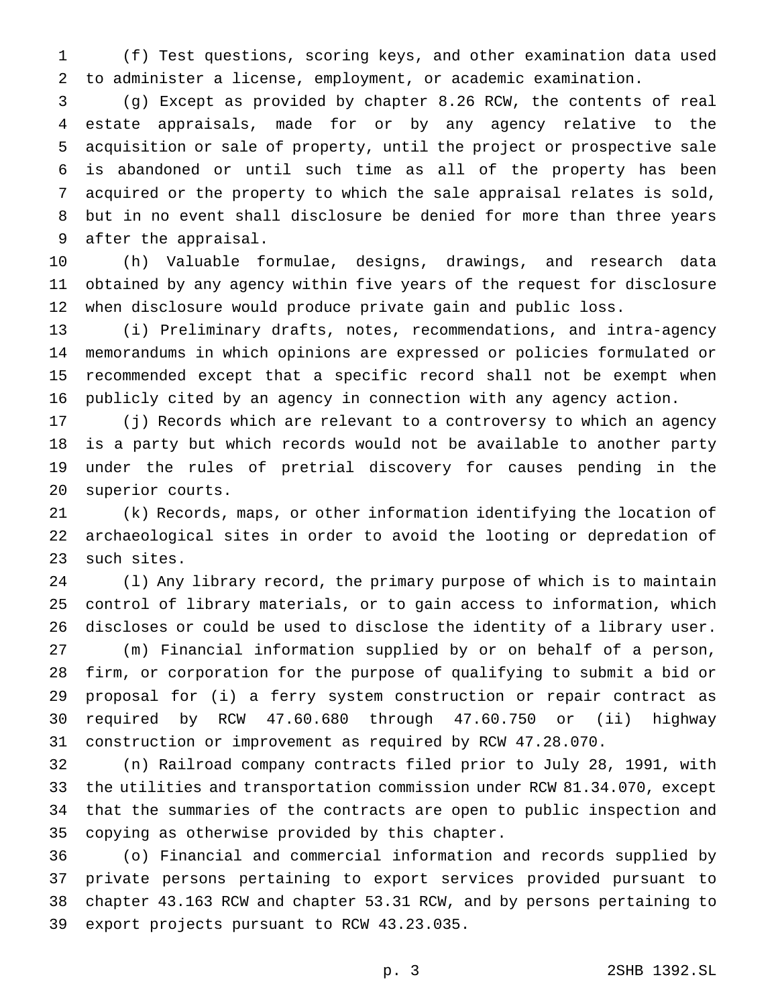(f) Test questions, scoring keys, and other examination data used to administer a license, employment, or academic examination.

 (g) Except as provided by chapter 8.26 RCW, the contents of real estate appraisals, made for or by any agency relative to the acquisition or sale of property, until the project or prospective sale is abandoned or until such time as all of the property has been acquired or the property to which the sale appraisal relates is sold, but in no event shall disclosure be denied for more than three years after the appraisal.

 (h) Valuable formulae, designs, drawings, and research data obtained by any agency within five years of the request for disclosure when disclosure would produce private gain and public loss.

 (i) Preliminary drafts, notes, recommendations, and intra-agency memorandums in which opinions are expressed or policies formulated or recommended except that a specific record shall not be exempt when publicly cited by an agency in connection with any agency action.

 (j) Records which are relevant to a controversy to which an agency is a party but which records would not be available to another party under the rules of pretrial discovery for causes pending in the superior courts.

 (k) Records, maps, or other information identifying the location of archaeological sites in order to avoid the looting or depredation of such sites.

 (l) Any library record, the primary purpose of which is to maintain control of library materials, or to gain access to information, which discloses or could be used to disclose the identity of a library user. (m) Financial information supplied by or on behalf of a person, firm, or corporation for the purpose of qualifying to submit a bid or proposal for (i) a ferry system construction or repair contract as required by RCW 47.60.680 through 47.60.750 or (ii) highway construction or improvement as required by RCW 47.28.070.

 (n) Railroad company contracts filed prior to July 28, 1991, with the utilities and transportation commission under RCW 81.34.070, except that the summaries of the contracts are open to public inspection and copying as otherwise provided by this chapter.

 (o) Financial and commercial information and records supplied by private persons pertaining to export services provided pursuant to chapter 43.163 RCW and chapter 53.31 RCW, and by persons pertaining to export projects pursuant to RCW 43.23.035.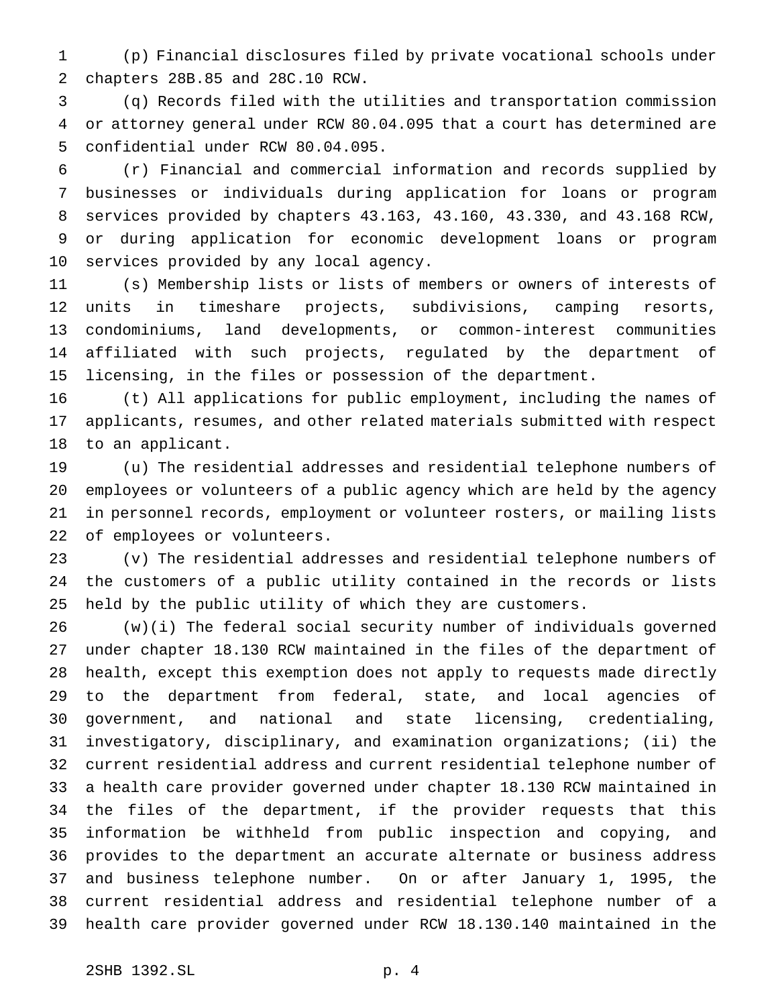(p) Financial disclosures filed by private vocational schools under chapters 28B.85 and 28C.10 RCW.

 (q) Records filed with the utilities and transportation commission or attorney general under RCW 80.04.095 that a court has determined are confidential under RCW 80.04.095.

 (r) Financial and commercial information and records supplied by businesses or individuals during application for loans or program services provided by chapters 43.163, 43.160, 43.330, and 43.168 RCW, or during application for economic development loans or program services provided by any local agency.

 (s) Membership lists or lists of members or owners of interests of units in timeshare projects, subdivisions, camping resorts, condominiums, land developments, or common-interest communities affiliated with such projects, regulated by the department of licensing, in the files or possession of the department.

 (t) All applications for public employment, including the names of applicants, resumes, and other related materials submitted with respect to an applicant.

 (u) The residential addresses and residential telephone numbers of employees or volunteers of a public agency which are held by the agency in personnel records, employment or volunteer rosters, or mailing lists of employees or volunteers.

 (v) The residential addresses and residential telephone numbers of the customers of a public utility contained in the records or lists held by the public utility of which they are customers.

 (w)(i) The federal social security number of individuals governed under chapter 18.130 RCW maintained in the files of the department of health, except this exemption does not apply to requests made directly to the department from federal, state, and local agencies of government, and national and state licensing, credentialing, investigatory, disciplinary, and examination organizations; (ii) the current residential address and current residential telephone number of a health care provider governed under chapter 18.130 RCW maintained in the files of the department, if the provider requests that this information be withheld from public inspection and copying, and provides to the department an accurate alternate or business address and business telephone number. On or after January 1, 1995, the current residential address and residential telephone number of a health care provider governed under RCW 18.130.140 maintained in the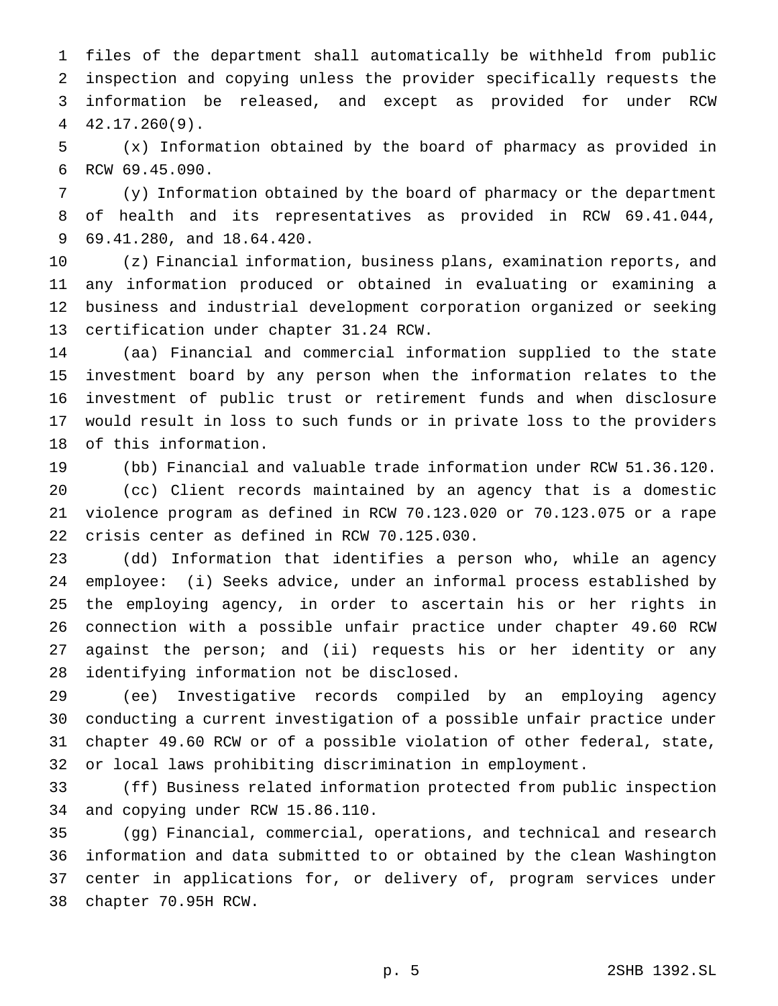files of the department shall automatically be withheld from public inspection and copying unless the provider specifically requests the information be released, and except as provided for under RCW 42.17.260(9).

 (x) Information obtained by the board of pharmacy as provided in RCW 69.45.090.

 (y) Information obtained by the board of pharmacy or the department of health and its representatives as provided in RCW 69.41.044, 69.41.280, and 18.64.420.

 (z) Financial information, business plans, examination reports, and any information produced or obtained in evaluating or examining a business and industrial development corporation organized or seeking certification under chapter 31.24 RCW.

 (aa) Financial and commercial information supplied to the state investment board by any person when the information relates to the investment of public trust or retirement funds and when disclosure would result in loss to such funds or in private loss to the providers of this information.

 (bb) Financial and valuable trade information under RCW 51.36.120. (cc) Client records maintained by an agency that is a domestic violence program as defined in RCW 70.123.020 or 70.123.075 or a rape crisis center as defined in RCW 70.125.030.

 (dd) Information that identifies a person who, while an agency employee: (i) Seeks advice, under an informal process established by the employing agency, in order to ascertain his or her rights in connection with a possible unfair practice under chapter 49.60 RCW against the person; and (ii) requests his or her identity or any identifying information not be disclosed.

 (ee) Investigative records compiled by an employing agency conducting a current investigation of a possible unfair practice under chapter 49.60 RCW or of a possible violation of other federal, state, or local laws prohibiting discrimination in employment.

 (ff) Business related information protected from public inspection and copying under RCW 15.86.110.

 (gg) Financial, commercial, operations, and technical and research information and data submitted to or obtained by the clean Washington center in applications for, or delivery of, program services under chapter 70.95H RCW.